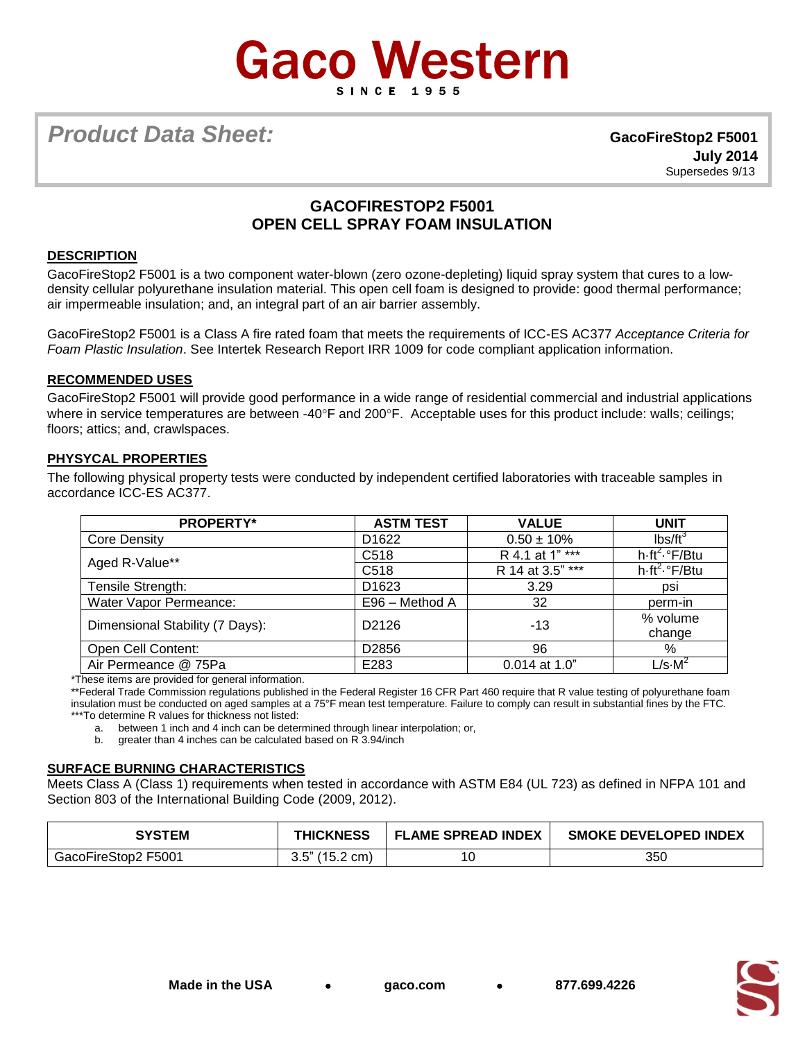# **Gaco Western**

**Product Data Sheet: GacoFireStop2 F5001** 

 **July 2014** Supersedes 9/13

# **GACOFIRESTOP2 F5001 OPEN CELL SPRAY FOAM INSULATION**

# **DESCRIPTION**

GacoFireStop2 F5001 is a two component water-blown (zero ozone-depleting) liquid spray system that cures to a lowdensity cellular polyurethane insulation material. This open cell foam is designed to provide: good thermal performance; air impermeable insulation; and, an integral part of an air barrier assembly.

GacoFireStop2 F5001 is a Class A fire rated foam that meets the requirements of ICC-ES AC377 *Acceptance Criteria for Foam Plastic Insulation*. See Intertek Research Report IRR 1009 for code compliant application information.

# **RECOMMENDED USES**

GacoFireStop2 F5001 will provide good performance in a wide range of residential commercial and industrial applications where in service temperatures are between -40°F and 200°F. Acceptable uses for this product include: walls; ceilings; floors; attics; and, crawlspaces.

# **PHYSYCAL PROPERTIES**

The following physical property tests were conducted by independent certified laboratories with traceable samples in accordance ICC-ES AC377.

| <b>PROPERTY*</b>                | <b>ASTM TEST</b>  | <b>VALUE</b>     | <b>UNIT</b>                                    |
|---------------------------------|-------------------|------------------|------------------------------------------------|
| <b>Core Density</b>             | D <sub>1622</sub> | $0.50 \pm 10\%$  | $lbs/ft^3$                                     |
| Aged R-Value**                  | C <sub>518</sub>  | R 4.1 at 1" ***  | $h\cdot ft^2 \cdot eF/Bt$ u                    |
|                                 | C <sub>518</sub>  | R 14 at 3.5" *** | $\overline{h\cdot ft^2}$ . $\overline{F/B}$ tu |
| Tensile Strength:               | D <sub>1623</sub> | 3.29             | psi                                            |
| Water Vapor Permeance:          | E96 - Method A    | 32               | perm-in                                        |
| Dimensional Stability (7 Days): | D2126             | $-13$            | % volume<br>change                             |
| Open Cell Content:              | D <sub>2856</sub> | 96               | %                                              |
| Air Permeance @ 75Pa            | E283              | $0.014$ at 1.0"  | $L/s \cdot M^2$                                |

\*These items are provided for general information.

\*\*Federal Trade Commission regulations published in the Federal Register 16 CFR Part 460 require that R value testing of polyurethane foam insulation must be conducted on aged samples at a 75°F mean test temperature. Failure to comply can result in substantial fines by the FTC. \*\*\*To determine R values for thickness not listed:

a. between 1 inch and 4 inch can be determined through linear interpolation; or,

b. greater than 4 inches can be calculated based on R 3.94/inch

#### **SURFACE BURNING CHARACTERISTICS**

Meets Class A (Class 1) requirements when tested in accordance with ASTM E84 (UL 723) as defined in NFPA 101 and Section 803 of the International Building Code (2009, 2012).

| SYSTEM              | <b>THICKNESS</b>  | <b>FLAME SPREAD INDEX</b> | <b>SMOKE DEVELOPED INDEX</b> |
|---------------------|-------------------|---------------------------|------------------------------|
| GacoFireStop2 F5001 | $3.5$ " (15.2 cm) | 10                        | 350                          |